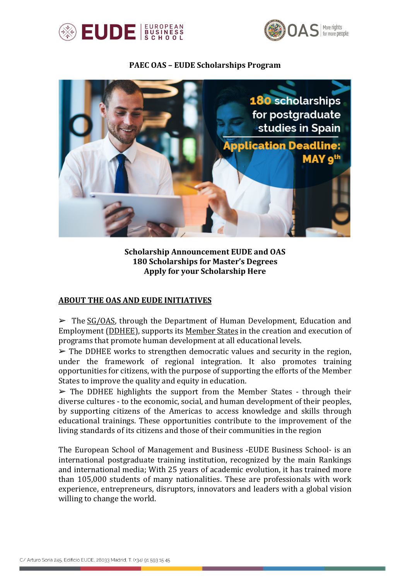



#### **PAEC OAS – EUDE Scholarships Program**



**Scholarship Announcement EUDE and OAS 180 Scholarships for Master's Degrees Apply for your Scholarship Here**

## **ABOUT THE OAS AND EUDE INITIATIVES**

 $\triangleright$  The SG/OAS, through the Department of Human Development, Education and Employment (DDHEE), supports its Member States in the creation and execution of programs that promote human development at all educational levels.

 $\triangleright$  The DDHEE works to strengthen democratic values and security in the region, under the framework of regional integration. It also promotes training opportunities for citizens, with the purpose of supporting the efforts of the Member States to improve the quality and equity in education.

 $\triangleright$  The DDHEE highlights the support from the Member States - through their diverse cultures - to the economic, social, and human development of their peoples, by supporting citizens of the Americas to access knowledge and skills through educational trainings. These opportunities contribute to the improvement of the living standards of its citizens and those of their communities in the region

The European School of Management and Business -EUDE Business School- is an international postgraduate training institution, recognized by the main Rankings and international media; With 25 years of academic evolution, it has trained more than 105,000 students of many nationalities. These are professionals with work experience, entrepreneurs, disruptors, innovators and leaders with a global vision willing to change the world.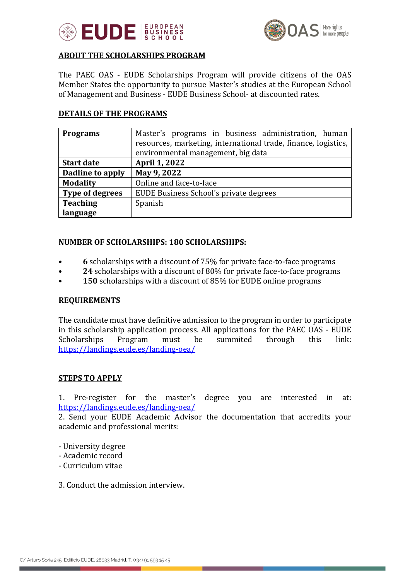



## **ABOUT THE SCHOLARSHIPS PROGRAM**

The PAEC OAS - EUDE Scholarships Program will provide citizens of the OAS Member States the opportunity to pursue Master's studies at the European School of Management and Business - EUDE Business School- at discounted rates.

## **DETAILS OF THE PROGRAMS**

| <b>Programs</b>        | Master's programs in business administration, human            |  |  |  |  |  |  |  |  |
|------------------------|----------------------------------------------------------------|--|--|--|--|--|--|--|--|
|                        | resources, marketing, international trade, finance, logistics, |  |  |  |  |  |  |  |  |
|                        | environmental management, big data                             |  |  |  |  |  |  |  |  |
| <b>Start date</b>      | April 1, 2022                                                  |  |  |  |  |  |  |  |  |
| Dadline to apply       | May 9, 2022                                                    |  |  |  |  |  |  |  |  |
| <b>Modality</b>        | Online and face-to-face                                        |  |  |  |  |  |  |  |  |
| <b>Type of degrees</b> | EUDE Business School's private degrees                         |  |  |  |  |  |  |  |  |
| <b>Teaching</b>        | Spanish                                                        |  |  |  |  |  |  |  |  |
| language               |                                                                |  |  |  |  |  |  |  |  |

#### **NUMBER OF SCHOLARSHIPS: 180 SCHOLARSHIPS:**

- **6** scholarships with a discount of 75% for private face-to-face programs
- **24** scholarships with a discount of 80% for private face-to-face programs
- **150** scholarships with a discount of 85% for EUDE online programs

## **REQUIREMENTS**

The candidate must have definitive admission to the program in order to participate in this scholarship application process. All applications for the PAEC OAS - EUDE Scholarships Program must be summited through this link: https://landings.eude.es/landing-oea/

## **STEPS TO APPLY**

1. Pre-register for the master's degree you are interested in at: https://landings.eude.es/landing-oea/

2. Send your EUDE Academic Advisor the documentation that accredits your academic and professional merits:

- University degree
- Academic record
- Curriculum vitae

3. Conduct the admission interview.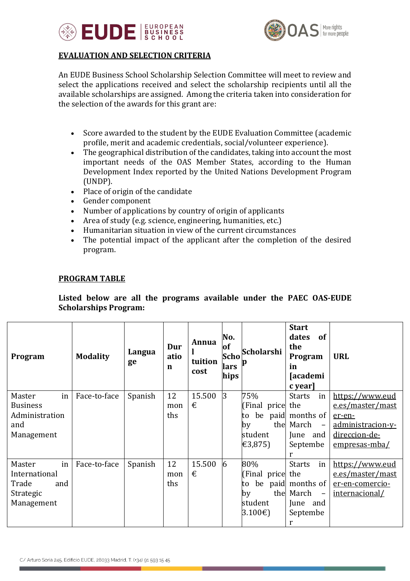



# **EVALUATION AND SELECTION CRITERIA**

An EUDE Business School Scholarship Selection Committee will meet to review and select the applications received and select the scholarship recipients until all the available scholarships are assigned. Among the criteria taken into consideration for the selection of the awards for this grant are:

- Score awarded to the student by the EUDE Evaluation Committee (academic profile, merit and academic credentials, social/volunteer experience).
- The geographical distribution of the candidates, taking into account the most important needs of the OAS Member States, according to the Human Development Index reported by the United Nations Development Program (UNDP).
- Place of origin of the candidate
- Gender component
- Number of applications by country of origin of applicants
- Area of study (e.g. science, engineering, humanities, etc.)
- Humanitarian situation in view of the current circumstances
- The potential impact of the applicant after the completion of the desired program.

#### **PROGRAM TABLE**

Listed below are all the programs available under the PAEC OAS-EUDE **Scholarships Program:** 

| Program                                                                  | <b>Modality</b> | Langua<br>ge | Dur<br>atio<br>n | Annua<br>tuition<br>cost | No.<br>of<br>Scho<br>lars<br>hips | Scholarshi                                                | <b>Start</b><br>dates<br>of<br>the<br>Program<br>in<br><b>[academi</b><br>c year]                              | <b>URL</b>                                                                                           |
|--------------------------------------------------------------------------|-----------------|--------------|------------------|--------------------------|-----------------------------------|-----------------------------------------------------------|----------------------------------------------------------------------------------------------------------------|------------------------------------------------------------------------------------------------------|
| in<br>Master<br><b>Business</b><br>Administration<br>and<br>Management   | Face-to-face    | Spanish      | 12<br>mon<br>ths | 15.500<br>€              | $\overline{3}$                    | 75%<br>(Final price the<br>to<br>by<br>student<br>€3,875) | <b>Starts</b><br>in<br>be paid months of<br>the March<br>$\overline{a}$<br>June and<br>Septembe<br>r           | https://www.eud<br>e.es/master/mast<br>er-en-<br>administracion-y-<br>direccion-de-<br>empresas-mba/ |
| in<br>Master<br>International<br>Trade<br>and<br>Strategic<br>Management | Face-to-face    | Spanish      | 12<br>mon<br>ths | 15.500<br>€              | 6                                 | 80%<br>(Final price the<br>to<br>by<br>student<br>3.100€  | <b>Starts</b><br>in<br>be paid months of<br>the March<br>$\overline{\phantom{a}}$<br>June and<br>Septembe<br>r | https://www.eud<br>e.es/master/mast<br>er-en-comercio-<br>internacional/                             |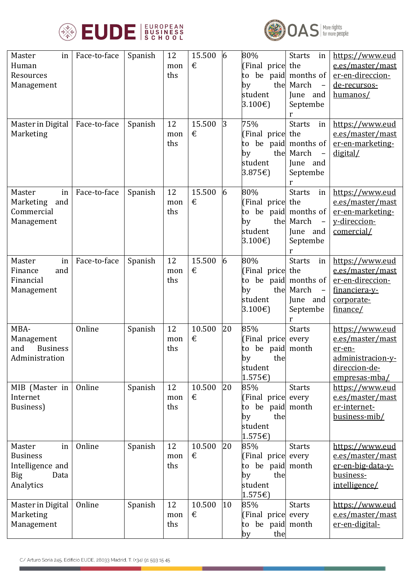



| Master<br>in<br>Human<br>Resources<br>Management                                       | Face-to-face | Spanish | 12<br>mon<br>ths | 15.500<br>€ | 6  | 80%<br>[Final price the<br>to<br>the<br>by<br>student<br>3.100€                          | <b>Starts</b><br>in<br>be paid months of<br>March<br>$\overline{\phantom{0}}$<br>June and<br>Septembe<br>r | https://www.eud<br>e.es/master/mast<br>er-en-direccion-<br>de-recursos-<br>humanos/                  |
|----------------------------------------------------------------------------------------|--------------|---------|------------------|-------------|----|------------------------------------------------------------------------------------------|------------------------------------------------------------------------------------------------------------|------------------------------------------------------------------------------------------------------|
| Master in Digital<br>Marketing                                                         | Face-to-face | Spanish | 12<br>mon<br>ths | 15.500<br>€ | 3  | 75%<br>(Final price<br>to<br>by<br>student<br>3.875 $\varepsilon$ )                      | <b>Starts</b><br>in<br>the<br>be paid months of<br>the March<br>June and<br>Septembe<br>r                  | https://www.eud<br>e.es/master/mast<br>er-en-marketing-<br>digital/                                  |
| Master<br>in<br>Marketing<br>and<br>Commercial<br>Management                           | Face-to-face | Spanish | 12<br>mon<br>ths | 15.500<br>€ | 6  | 80%<br>(Final price<br>to be paid months of<br>by<br>student<br>3.100€                   | <b>Starts</b><br>in<br>the<br>the March<br>$\equiv$<br>June and<br>Septembe<br>r                           | https://www.eud<br>e.es/master/mast<br>er-en-marketing-<br>y-direccion-<br>comercial/                |
| Master<br>in<br>and<br>Finance<br>Financial<br>Management                              | Face-to-face | Spanish | 12<br>mon<br>ths | 15.500<br>€ | 6  | 80%<br>(Final price<br>to be paid months of<br>the<br>by<br>student<br>3.100€            | <b>Starts</b><br>in<br>the<br>March<br>$\overline{\phantom{a}}$<br>June and<br>Septembe                    | https://www.eud<br>e.es/master/mast<br>er-en-direccion-<br>financiera-y-<br>corporate-<br>finance/   |
| MBA-<br>Management<br>and<br><b>Business</b><br>Administration                         | Online       | Spanish | 12<br>mon<br>ths | 10.500<br>€ | 20 | 85%<br>(Final price<br>be paid month<br>to<br>by<br>the<br>student<br>1.575€             | <b>Starts</b><br>every                                                                                     | https://www.eud<br>e.es/master/mast<br>er-en-<br>administracion-y-<br>direccion-de-<br>empresas-mba/ |
| MIB (Master in<br>Internet<br>Business)                                                | Online       | Spanish | 12<br>mon<br>ths | 10.500<br>€ | 20 | 85%<br>[Final price every<br>to be paid month<br>the<br>by<br>student<br>1.575€          | <b>Starts</b>                                                                                              | https://www.eud<br>e.es/master/mast<br>er-internet-<br>business-mib/                                 |
| Master<br>in<br><b>Business</b><br>Intelligence and<br><b>Big</b><br>Data<br>Analytics | Online       | Spanish | 12<br>mon<br>ths | 10.500<br>€ | 20 | 85%<br>(Final price every<br>to be paid month<br>the<br>by<br>student<br>$1.575\epsilon$ | <b>Starts</b>                                                                                              | https://www.eud<br>e.es/master/mast<br>er-en-big-data-y-<br>business-<br>intelligence/               |
| Master in Digital<br>Marketing<br>Management                                           | Online       | Spanish | 12<br>mon<br>ths | 10.500<br>€ | 10 | 85%<br>(Final price every<br>to be paid month<br>by<br>the                               | <b>Starts</b>                                                                                              | https://www.eud<br>e.es/master/mast<br>er-en-digital-                                                |

٠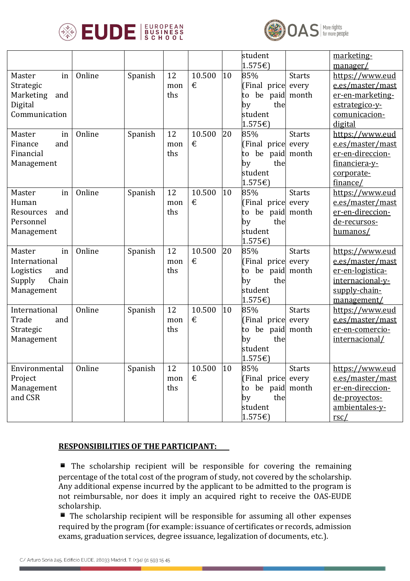



|                  |        |         |     |        |    | student             |               | marketing-                   |
|------------------|--------|---------|-----|--------|----|---------------------|---------------|------------------------------|
|                  |        |         |     |        |    | 1.575€              |               | manager/                     |
| in<br>Master     | Online | Spanish | 12  | 10.500 | 10 | 85%                 | <b>Starts</b> | https://www.eud              |
| Strategic        |        |         | mon | €      |    | (Final price every  |               | e.es/master/mast             |
| Marketing<br>and |        |         | ths |        |    | be paid month<br>to |               | er-en-marketing-             |
| Digital          |        |         |     |        |    | by<br>the           |               | estrategico-y-               |
| Communication    |        |         |     |        |    | student             |               | comunicacion-                |
|                  |        |         |     |        |    | 1.575€              |               | digital                      |
| Master<br>in     | Online | Spanish | 12  | 10.500 | 20 | 85%                 | <b>Starts</b> | https://www.eud              |
| Finance<br>and   |        |         | mon | €      |    | (Final price every  |               | e.es/master/mast             |
| Financial        |        |         | ths |        |    | be paid month<br>to |               | er-en-direccion-             |
| Management       |        |         |     |        |    | the<br>by           |               | financiera-y-                |
|                  |        |         |     |        |    | student             |               | corporate-                   |
|                  |        |         |     |        |    | 1.575€              |               | finance/                     |
| Master<br>in     | Online | Spanish | 12  | 10.500 | 10 | 85%                 | <b>Starts</b> | https://www.eud              |
| Human            |        |         | mon | €      |    | (Final price every  |               | e.es/master/mast             |
| Resources<br>and |        |         | ths |        |    | be paid month<br>to |               | er-en-direccion-             |
| Personnel        |        |         |     |        |    | the<br>by           |               | <u>de-recursos-</u>          |
| Management       |        |         |     |        |    | student             |               | humanos/                     |
|                  |        |         |     |        |    | 1.575€              |               |                              |
| Master<br>in     | Online | Spanish | 12  | 10.500 | 20 | 85%                 | <b>Starts</b> | https://www.eud              |
| International    |        |         | mon | €      |    | (Final price every  |               | e.es/master/mast             |
| Logistics<br>and |        |         | ths |        |    | be paid month<br>to |               | er-en-logistica-             |
| Supply<br>Chain  |        |         |     |        |    | the<br>by           |               | internacional-y-             |
| Management       |        |         |     |        |    | student             |               | supply-chain-                |
|                  |        |         |     |        |    | 1.575€              |               | management/                  |
| International    | Online | Spanish | 12  | 10.500 | 10 | 85%                 | <b>Starts</b> | https://www.eud              |
| Trade<br>and     |        |         | mon | €      |    | (Final price every  |               | e.es/master/mast             |
| Strategic        |        |         | ths |        |    | be paid month<br>to |               | er-en-comercio-              |
| Management       |        |         |     |        |    | the<br>by           |               | internacional/               |
|                  |        |         |     |        |    | student             |               |                              |
|                  |        |         |     |        |    | $1.575\epsilon$     |               |                              |
| Environmental    | Online | Spanish | 12  | 10.500 | 10 | 85%                 | <b>Starts</b> | https://www.eud              |
| Project          |        |         | mon | €      |    | [Final price every  |               | e.es/master/mast             |
| Management       |        |         | ths |        |    | to be paid month    |               | er-en-direccion-             |
| and CSR          |        |         |     |        |    | the<br>by           |               | de-proyectos-                |
|                  |        |         |     |        |    | student             |               | ambientales-y-               |
|                  |        |         |     |        |    | 1.575€              |               | $\frac{\text{rsc}}{\text{}}$ |

## **RESPONSIBILITIES OF THE PARTICIPANT:**

 $\blacksquare$  The scholarship recipient will be responsible for covering the remaining percentage of the total cost of the program of study, not covered by the scholarship. Any additional expense incurred by the applicant to be admitted to the program is not reimbursable, nor does it imply an acquired right to receive the OAS-EUDE scholarship.

 $\blacksquare$  The scholarship recipient will be responsible for assuming all other expenses required by the program (for example: issuance of certificates or records, admission exams, graduation services, degree issuance, legalization of documents, etc.).